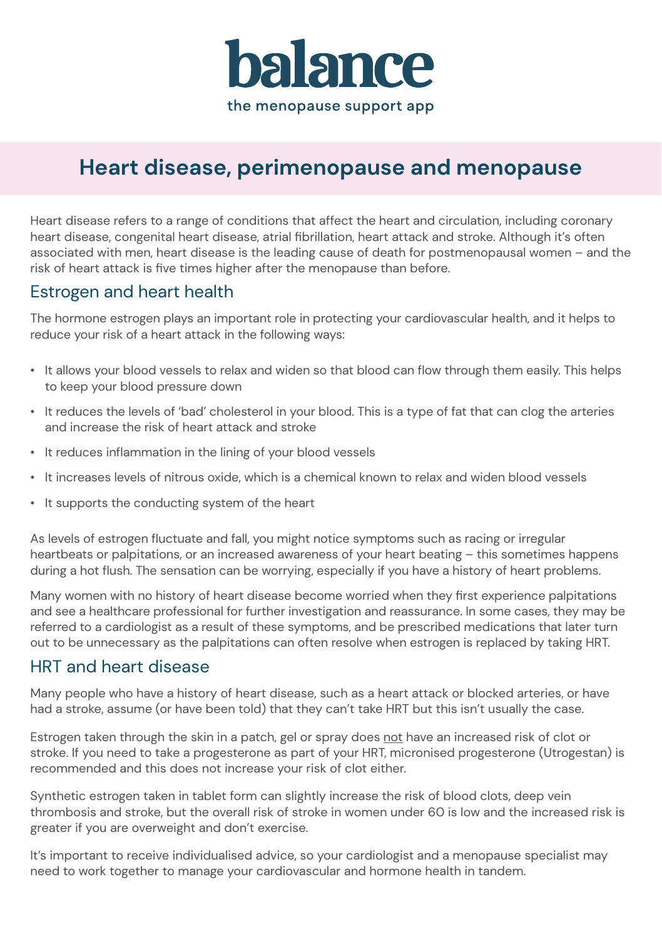

# **Heart disease, perimenopause and menopause**

Heart disease refers to a range of conditions that affect the heart and circulation, including coronary heart disease, congenital heart disease, atrial fibrillation, heart attack and stroke. Although it's often associated with men, heart disease is the leading cause of death for postmenopausal women – and the risk of heart attack is five times higher after the menopause than before.

### Estrogen and heart health

The hormone estrogen plays an important role in protecting your cardiovascular health, and it helps to reduce your risk of a heart attack in the following ways:

- It allows your blood vessels to relax and widen so that blood can flow through them easily. This helps to keep your blood pressure down
- ï It reduces the levels of 'bad' cholesterol in your blood. This is a type of fat that can clog the arteries and increase the risk of heart attack and stroke
- $\cdot$  It reduces inflammation in the lining of your blood vessels
- $\cdot$  It increases levels of nitrous oxide, which is a chemical known to relax and widen blood vessels
- $\cdot$  It supports the conducting system of the heart

As levels of estrogen fluctuate and fall, you might notice symptoms such as racing or irregular heartbeats or palpitations, or an increased awareness of your heart beating – this sometimes happens during a hot flush. The sensation can be worrying, especially if you have a history of heart problems.

Many women with no history of heart disease become worried when they first experience palpitations and see a healthcare professional for further investigation and reassurance. In some cases, they may be referred to a cardiologist as a result of these symptoms, and be prescribed medications that later turn out to be unnecessary as the palpitations can often resolve when estrogen is replaced by taking HRT.

### HRT and heart disease

Many people who have a history of heart disease, such as a heart attack or blocked arteries, or have had a stroke, assume (or have been told) that they can't take HRT but this isn't usually the case.

Estrogen taken through the skin in a patch, gel or spray does not have an increased risk of clot or stroke. If you need to take a progesterone as part of your HRT, micronised progesterone (Utrogestan) is recommended and this does not increase your risk of clot either.

Synthetic estrogen taken in tablet form can slightly increase the risk of blood clots, deep vein thrombosis and stroke, but the overall risk of stroke in women under 60 is low and the increased risk is greater if you are overweight and don't exercise.

It's important to receive individualised advice, so your cardiologist and a menopause specialist may need to work together to manage your cardiovascular and hormone health in tandem.